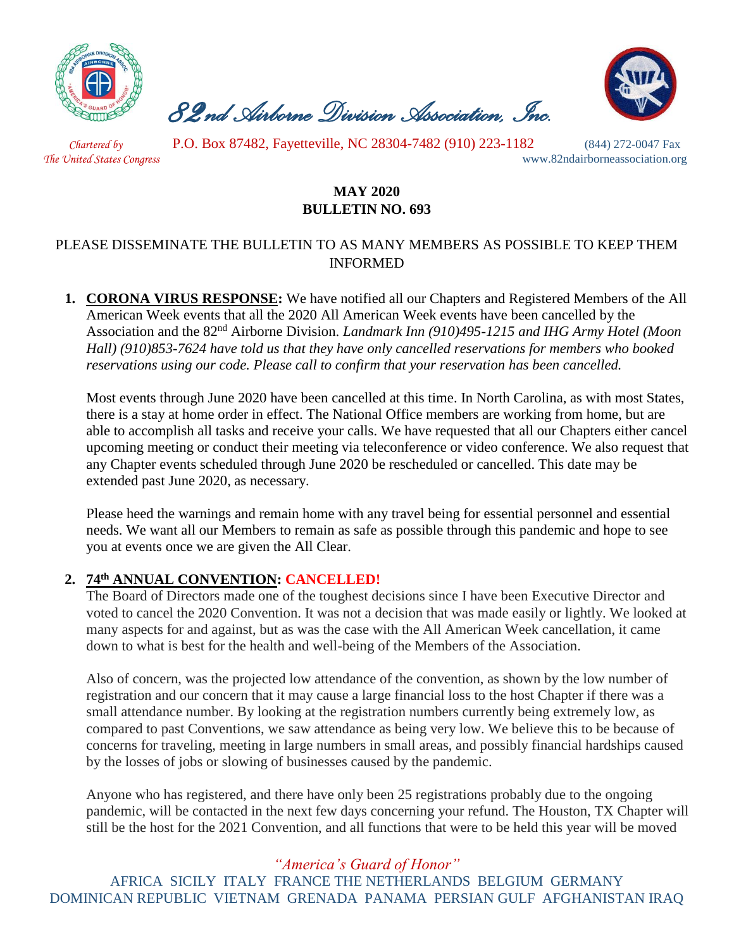

 *82nd Airborne Division Association, Inc.* 



 *Chartered by* P.O. Box 87482, Fayetteville, NC 28304-7482 (910) 223-1182 (844) 272-0047 Fax

*The United States Congress* www.82ndairborneassociation.org

## **MAY 2020 BULLETIN NO. 693**

### PLEASE DISSEMINATE THE BULLETIN TO AS MANY MEMBERS AS POSSIBLE TO KEEP THEM INFORMED

**1. CORONA VIRUS RESPONSE:** We have notified all our Chapters and Registered Members of the All American Week events that all the 2020 All American Week events have been cancelled by the Association and the 82nd Airborne Division. *Landmark Inn (910)495-1215 and IHG Army Hotel (Moon Hall) (910)853-7624 have told us that they have only cancelled reservations for members who booked reservations using our code. Please call to confirm that your reservation has been cancelled.*

Most events through June 2020 have been cancelled at this time. In North Carolina, as with most States, there is a stay at home order in effect. The National Office members are working from home, but are able to accomplish all tasks and receive your calls. We have requested that all our Chapters either cancel upcoming meeting or conduct their meeting via teleconference or video conference. We also request that any Chapter events scheduled through June 2020 be rescheduled or cancelled. This date may be extended past June 2020, as necessary.

Please heed the warnings and remain home with any travel being for essential personnel and essential needs. We want all our Members to remain as safe as possible through this pandemic and hope to see you at events once we are given the All Clear.

## **2. 74th ANNUAL CONVENTION: CANCELLED!**

The Board of Directors made one of the toughest decisions since I have been Executive Director and voted to cancel the 2020 Convention. It was not a decision that was made easily or lightly. We looked at many aspects for and against, but as was the case with the All American Week cancellation, it came down to what is best for the health and well-being of the Members of the Association.

Also of concern, was the projected low attendance of the convention, as shown by the low number of registration and our concern that it may cause a large financial loss to the host Chapter if there was a small attendance number. By looking at the registration numbers currently being extremely low, as compared to past Conventions, we saw attendance as being very low. We believe this to be because of concerns for traveling, meeting in large numbers in small areas, and possibly financial hardships caused by the losses of jobs or slowing of businesses caused by the pandemic.

Anyone who has registered, and there have only been 25 registrations probably due to the ongoing pandemic, will be contacted in the next few days concerning your refund. The Houston, TX Chapter will still be the host for the 2021 Convention, and all functions that were to be held this year will be moved

# *"America's Guard of Honor"*

AFRICA SICILY ITALY FRANCE THE NETHERLANDS BELGIUM GERMANY DOMINICAN REPUBLIC VIETNAM GRENADA PANAMA PERSIAN GULF AFGHANISTAN IRAQ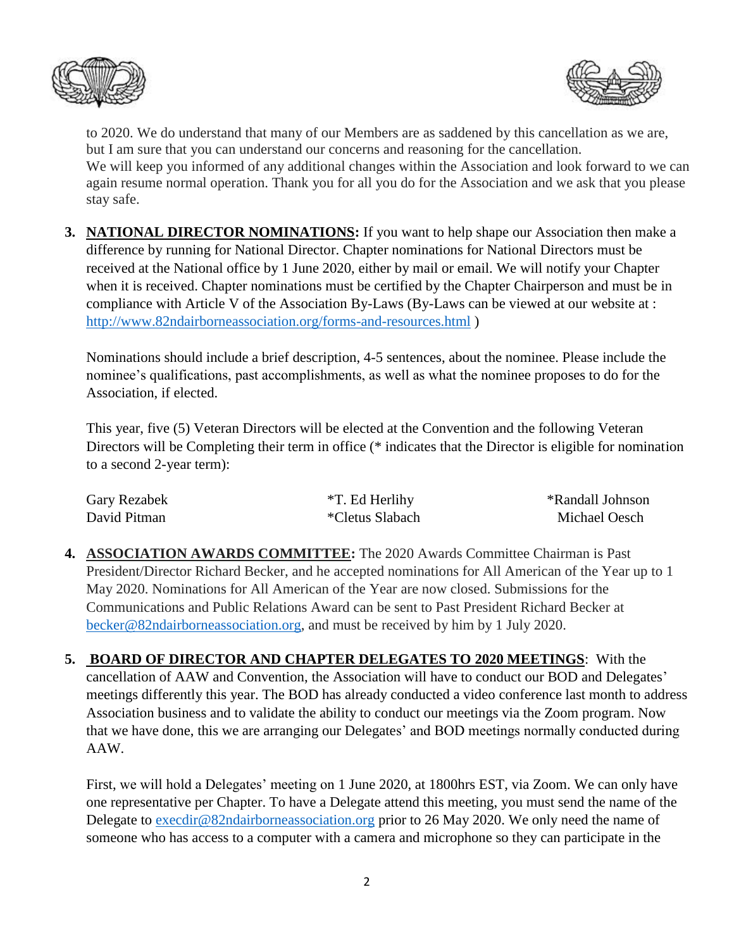



to 2020. We do understand that many of our Members are as saddened by this cancellation as we are, but I am sure that you can understand our concerns and reasoning for the cancellation. We will keep you informed of any additional changes within the Association and look forward to we can again resume normal operation. Thank you for all you do for the Association and we ask that you please stay safe.

**3. NATIONAL DIRECTOR NOMINATIONS:** If you want to help shape our Association then make a difference by running for National Director. Chapter nominations for National Directors must be received at the National office by 1 June 2020, either by mail or email. We will notify your Chapter when it is received. Chapter nominations must be certified by the Chapter Chairperson and must be in compliance with Article V of the Association By-Laws (By-Laws can be viewed at our website at : <http://www.82ndairborneassociation.org/forms-and-resources.html> )

Nominations should include a brief description, 4-5 sentences, about the nominee. Please include the nominee's qualifications, past accomplishments, as well as what the nominee proposes to do for the Association, if elected.

This year, five (5) Veteran Directors will be elected at the Convention and the following Veteran Directors will be Completing their term in office (\* indicates that the Director is eligible for nomination to a second 2-year term):

| Gary Rezabek | *T. Ed Herlihy  | *Randall Johnson |
|--------------|-----------------|------------------|
| David Pitman | *Cletus Slabach | Michael Oesch    |

**4. ASSOCIATION AWARDS COMMITTEE:** The 2020 Awards Committee Chairman is Past President/Director Richard Becker, and he accepted nominations for All American of the Year up to 1 May 2020. Nominations for All American of the Year are now closed. Submissions for the Communications and Public Relations Award can be sent to Past President Richard Becker at [becker@82ndairborneassociation.org,](mailto:becker@82ndairborneassociation.org) and must be received by him by 1 July 2020.

**5. BOARD OF DIRECTOR AND CHAPTER DELEGATES TO 2020 MEETINGS**: With the cancellation of AAW and Convention, the Association will have to conduct our BOD and Delegates' meetings differently this year. The BOD has already conducted a video conference last month to address Association business and to validate the ability to conduct our meetings via the Zoom program. Now that we have done, this we are arranging our Delegates' and BOD meetings normally conducted during AAW.

First, we will hold a Delegates' meeting on 1 June 2020, at 1800hrs EST, via Zoom. We can only have one representative per Chapter. To have a Delegate attend this meeting, you must send the name of the Delegate to [execdir@82ndairborneassociation.org](mailto:execdir@82ndairborneassociation.org) prior to 26 May 2020. We only need the name of someone who has access to a computer with a camera and microphone so they can participate in the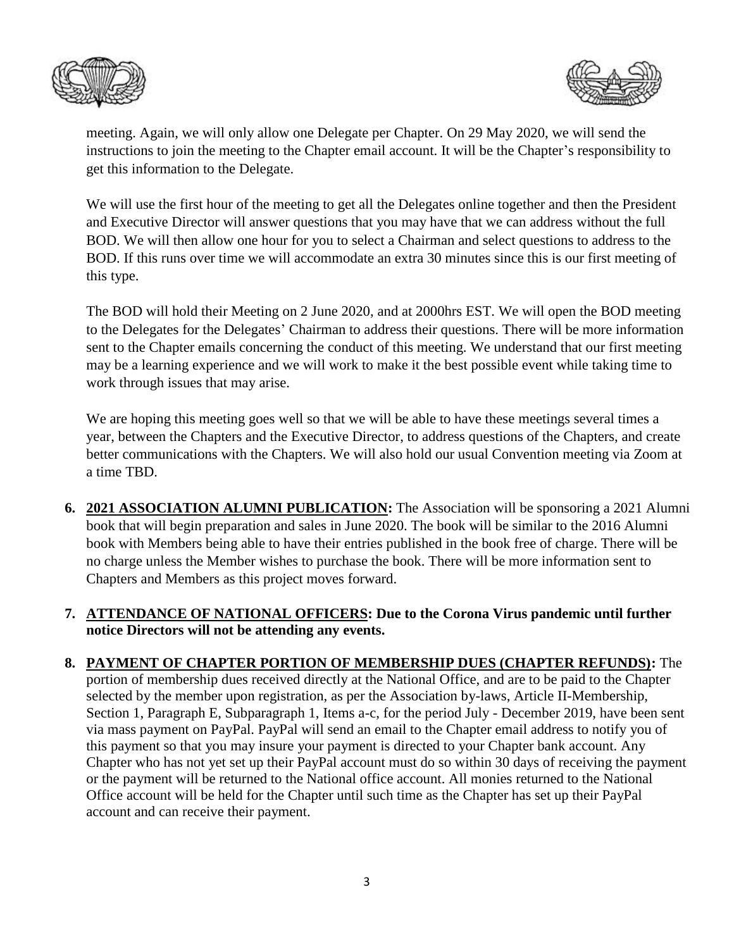



meeting. Again, we will only allow one Delegate per Chapter. On 29 May 2020, we will send the instructions to join the meeting to the Chapter email account. It will be the Chapter's responsibility to get this information to the Delegate.

We will use the first hour of the meeting to get all the Delegates online together and then the President and Executive Director will answer questions that you may have that we can address without the full BOD. We will then allow one hour for you to select a Chairman and select questions to address to the BOD. If this runs over time we will accommodate an extra 30 minutes since this is our first meeting of this type.

The BOD will hold their Meeting on 2 June 2020, and at 2000hrs EST. We will open the BOD meeting to the Delegates for the Delegates' Chairman to address their questions. There will be more information sent to the Chapter emails concerning the conduct of this meeting. We understand that our first meeting may be a learning experience and we will work to make it the best possible event while taking time to work through issues that may arise.

We are hoping this meeting goes well so that we will be able to have these meetings several times a year, between the Chapters and the Executive Director, to address questions of the Chapters, and create better communications with the Chapters. We will also hold our usual Convention meeting via Zoom at a time TBD.

- **6. 2021 ASSOCIATION ALUMNI PUBLICATION:** The Association will be sponsoring a 2021 Alumni book that will begin preparation and sales in June 2020. The book will be similar to the 2016 Alumni book with Members being able to have their entries published in the book free of charge. There will be no charge unless the Member wishes to purchase the book. There will be more information sent to Chapters and Members as this project moves forward.
- **7. ATTENDANCE OF NATIONAL OFFICERS: Due to the Corona Virus pandemic until further notice Directors will not be attending any events.**
- **8. PAYMENT OF CHAPTER PORTION OF MEMBERSHIP DUES (CHAPTER REFUNDS):** The portion of membership dues received directly at the National Office, and are to be paid to the Chapter selected by the member upon registration, as per the Association by-laws, Article II-Membership, Section 1, Paragraph E, Subparagraph 1, Items a-c, for the period July - December 2019, have been sent via mass payment on PayPal. PayPal will send an email to the Chapter email address to notify you of this payment so that you may insure your payment is directed to your Chapter bank account. Any Chapter who has not yet set up their PayPal account must do so within 30 days of receiving the payment or the payment will be returned to the National office account. All monies returned to the National Office account will be held for the Chapter until such time as the Chapter has set up their PayPal account and can receive their payment.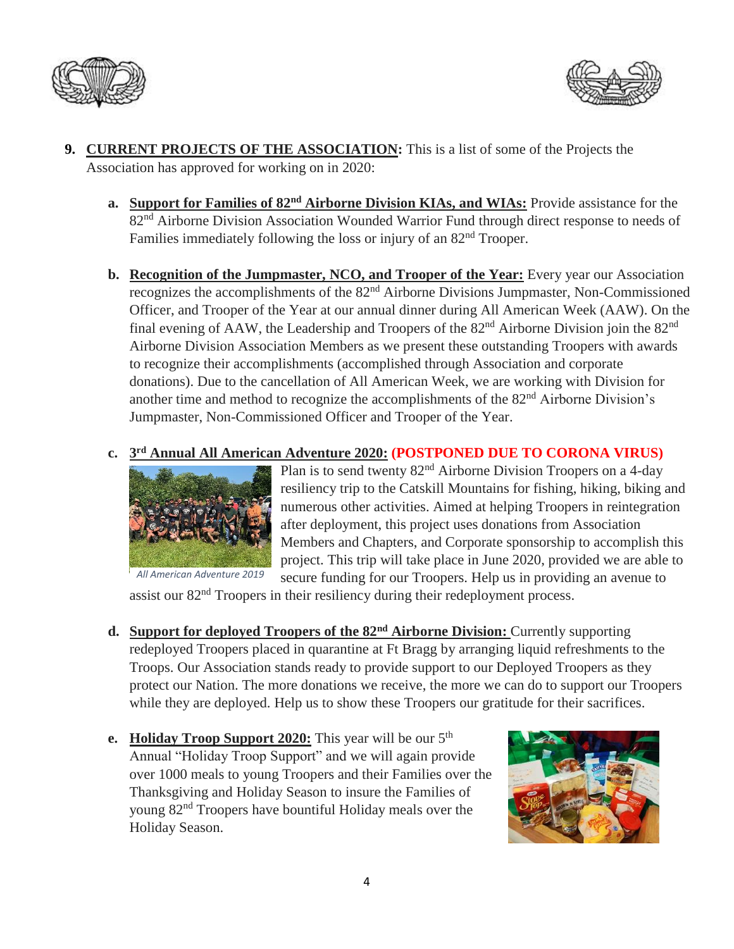



- **9. CURRENT PROJECTS OF THE ASSOCIATION:** This is a list of some of the Projects the Association has approved for working on in 2020:
	- **a. Support for Families of 82nd Airborne Division KIAs, and WIAs:** Provide assistance for the 82<sup>nd</sup> Airborne Division Association Wounded Warrior Fund through direct response to needs of Families immediately following the loss or injury of an  $82<sup>nd</sup>$  Trooper.
	- **b. Recognition of the Jumpmaster, NCO, and Trooper of the Year:** Every year our Association recognizes the accomplishments of the 82nd Airborne Divisions Jumpmaster, Non-Commissioned Officer, and Trooper of the Year at our annual dinner during All American Week (AAW). On the final evening of AAW, the Leadership and Troopers of the  $82<sup>nd</sup>$  Airborne Division join the  $82<sup>nd</sup>$ Airborne Division Association Members as we present these outstanding Troopers with awards to recognize their accomplishments (accomplished through Association and corporate donations). Due to the cancellation of All American Week, we are working with Division for another time and method to recognize the accomplishments of the 82<sup>nd</sup> Airborne Division's Jumpmaster, Non-Commissioned Officer and Trooper of the Year.

#### **c. 3 rd Annual All American Adventure 2020: (POSTPONED DUE TO CORONA VIRUS)**



Plan is to send twenty 82<sup>nd</sup> Airborne Division Troopers on a 4-day resiliency trip to the Catskill Mountains for fishing, hiking, biking and numerous other activities. Aimed at helping Troopers in reintegration after deployment, this project uses donations from Association Members and Chapters, and Corporate sponsorship to accomplish this project. This trip will take place in June 2020, provided we are able to secure funding for our Troopers. Help us in providing an avenue to

assist our 82<sup>nd</sup> Troopers in their resiliency during their redeployment process.

- **d. Support for deployed Troopers of the 82nd Airborne Division:** Currently supporting redeployed Troopers placed in quarantine at Ft Bragg by arranging liquid refreshments to the Troops. Our Association stands ready to provide support to our Deployed Troopers as they protect our Nation. The more donations we receive, the more we can do to support our Troopers while they are deployed. Help us to show these Troopers our gratitude for their sacrifices.
- **e. Holiday Troop Support 2020:** This year will be our 5<sup>th</sup> Annual "Holiday Troop Support" and we will again provide over 1000 meals to young Troopers and their Families over the Thanksgiving and Holiday Season to insure the Families of young 82nd Troopers have bountiful Holiday meals over the Holiday Season.

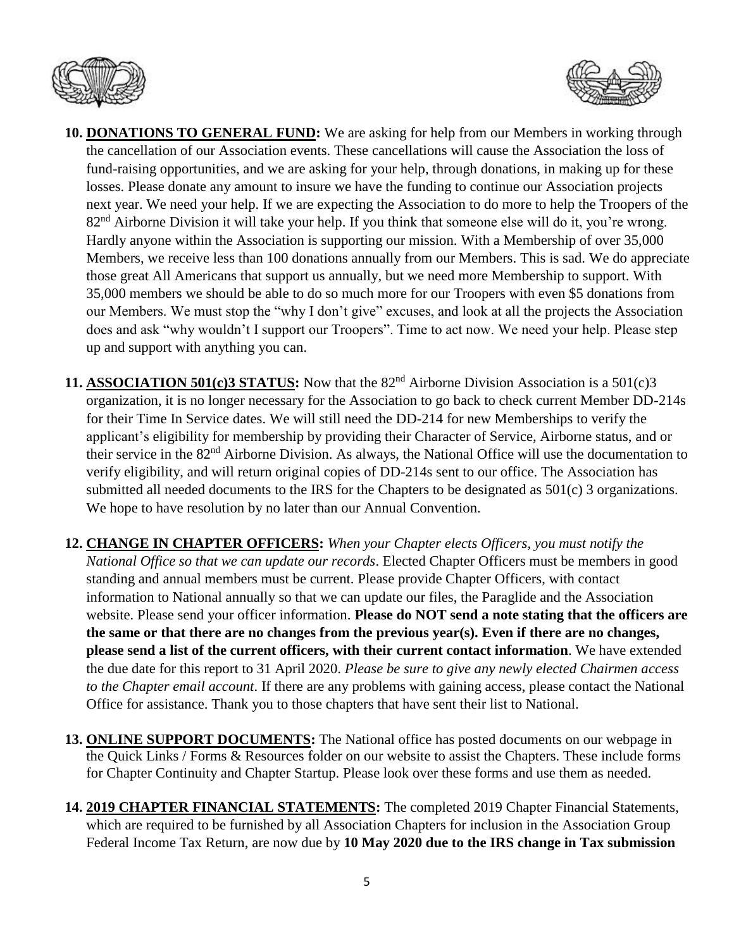



- **10. DONATIONS TO GENERAL FUND:** We are asking for help from our Members in working through the cancellation of our Association events. These cancellations will cause the Association the loss of fund-raising opportunities, and we are asking for your help, through donations, in making up for these losses. Please donate any amount to insure we have the funding to continue our Association projects next year. We need your help. If we are expecting the Association to do more to help the Troopers of the 82<sup>nd</sup> Airborne Division it will take your help. If you think that someone else will do it, you're wrong. Hardly anyone within the Association is supporting our mission. With a Membership of over 35,000 Members, we receive less than 100 donations annually from our Members. This is sad. We do appreciate those great All Americans that support us annually, but we need more Membership to support. With 35,000 members we should be able to do so much more for our Troopers with even \$5 donations from our Members. We must stop the "why I don't give" excuses, and look at all the projects the Association does and ask "why wouldn't I support our Troopers". Time to act now. We need your help. Please step up and support with anything you can.
- **11. ASSOCIATION 501(c)3 STATUS:** Now that the 82<sup>nd</sup> Airborne Division Association is a 501(c)3 organization, it is no longer necessary for the Association to go back to check current Member DD-214s for their Time In Service dates. We will still need the DD-214 for new Memberships to verify the applicant's eligibility for membership by providing their Character of Service, Airborne status, and or their service in the 82<sup>nd</sup> Airborne Division. As always, the National Office will use the documentation to verify eligibility, and will return original copies of DD-214s sent to our office. The Association has submitted all needed documents to the IRS for the Chapters to be designated as 501(c) 3 organizations. We hope to have resolution by no later than our Annual Convention.
- **12. CHANGE IN CHAPTER OFFICERS:** *When your Chapter elects Officers, you must notify the National Office so that we can update our records*. Elected Chapter Officers must be members in good standing and annual members must be current. Please provide Chapter Officers, with contact information to National annually so that we can update our files, the Paraglide and the Association website. Please send your officer information. **Please do NOT send a note stating that the officers are the same or that there are no changes from the previous year(s). Even if there are no changes, please send a list of the current officers, with their current contact information**. We have extended the due date for this report to 31 April 2020. *Please be sure to give any newly elected Chairmen access to the Chapter email account*. If there are any problems with gaining access, please contact the National Office for assistance. Thank you to those chapters that have sent their list to National.
- **13. ONLINE SUPPORT DOCUMENTS:** The National office has posted documents on our webpage in the Quick Links / Forms & Resources folder on our website to assist the Chapters. These include forms for Chapter Continuity and Chapter Startup. Please look over these forms and use them as needed.
- **14. 2019 CHAPTER FINANCIAL STATEMENTS:** The completed 2019 Chapter Financial Statements, which are required to be furnished by all Association Chapters for inclusion in the Association Group Federal Income Tax Return, are now due by **10 May 2020 due to the IRS change in Tax submission**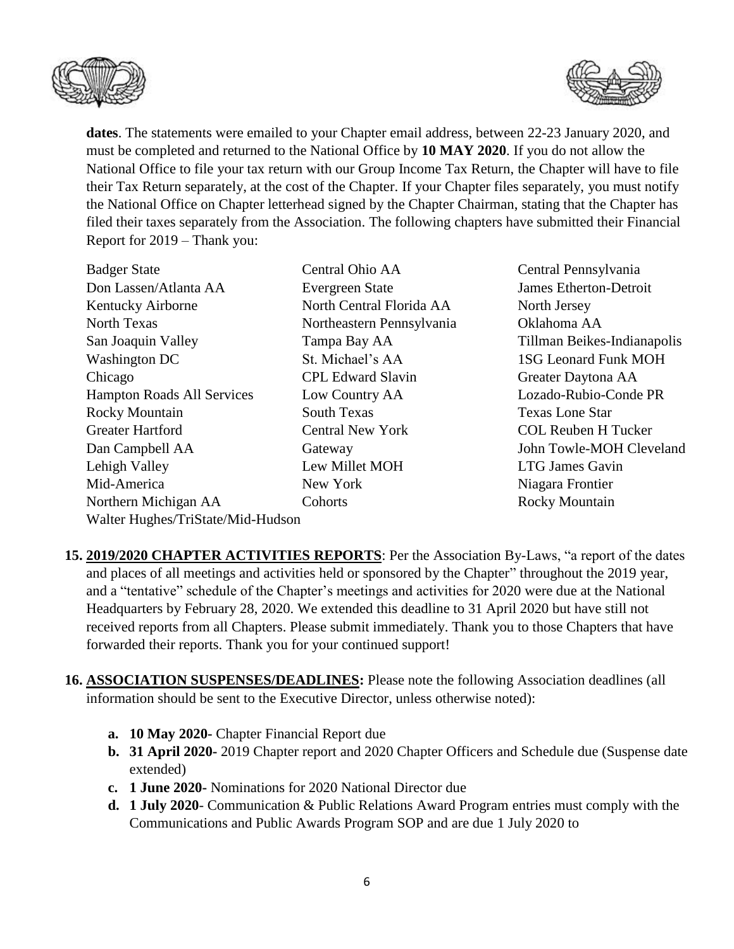



**dates**. The statements were emailed to your Chapter email address, between 22-23 January 2020, and must be completed and returned to the National Office by **10 MAY 2020**. If you do not allow the National Office to file your tax return with our Group Income Tax Return, the Chapter will have to file their Tax Return separately, at the cost of the Chapter. If your Chapter files separately, you must notify the National Office on Chapter letterhead signed by the Chapter Chairman, stating that the Chapter has filed their taxes separately from the Association. The following chapters have submitted their Financial Report for 2019 – Thank you:

| <b>Badger State</b>               | Central Ohio AA           | Central Pennsylvania        |
|-----------------------------------|---------------------------|-----------------------------|
| Don Lassen/Atlanta AA             | <b>Evergreen State</b>    | James Etherton-Detroit      |
| Kentucky Airborne                 | North Central Florida AA  | North Jersey                |
| North Texas                       | Northeastern Pennsylvania | Oklahoma AA                 |
| San Joaquin Valley                | Tampa Bay AA              | Tillman Beikes-Indianapolis |
| Washington DC                     | St. Michael's AA          | <b>1SG Leonard Funk MOH</b> |
| Chicago                           | <b>CPL Edward Slavin</b>  | Greater Daytona AA          |
| <b>Hampton Roads All Services</b> | Low Country AA            | Lozado-Rubio-Conde PR       |
| <b>Rocky Mountain</b>             | South Texas               | <b>Texas Lone Star</b>      |
| <b>Greater Hartford</b>           | <b>Central New York</b>   | <b>COL Reuben H Tucker</b>  |
| Dan Campbell AA                   | Gateway                   | John Towle-MOH Cleveland    |
| Lehigh Valley                     | Lew Millet MOH            | <b>LTG James Gavin</b>      |
| Mid-America                       | New York                  | Niagara Frontier            |
| Northern Michigan AA              | Cohorts                   | <b>Rocky Mountain</b>       |
| Walter Hughes/TriState/Mid-Hudson |                           |                             |

- **15. 2019/2020 CHAPTER ACTIVITIES REPORTS**: Per the Association By-Laws, "a report of the dates and places of all meetings and activities held or sponsored by the Chapter" throughout the 2019 year, and a "tentative" schedule of the Chapter's meetings and activities for 2020 were due at the National Headquarters by February 28, 2020. We extended this deadline to 31 April 2020 but have still not received reports from all Chapters. Please submit immediately. Thank you to those Chapters that have forwarded their reports. Thank you for your continued support!
- **16. ASSOCIATION SUSPENSES/DEADLINES:** Please note the following Association deadlines (all information should be sent to the Executive Director, unless otherwise noted):
	- **a. 10 May 2020-** Chapter Financial Report due
	- **b. 31 April 2020-** 2019 Chapter report and 2020 Chapter Officers and Schedule due (Suspense date extended)
	- **c. 1 June 2020-** Nominations for 2020 National Director due
	- **d. 1 July 2020** Communication & Public Relations Award Program entries must comply with the Communications and Public Awards Program SOP and are due 1 July 2020 to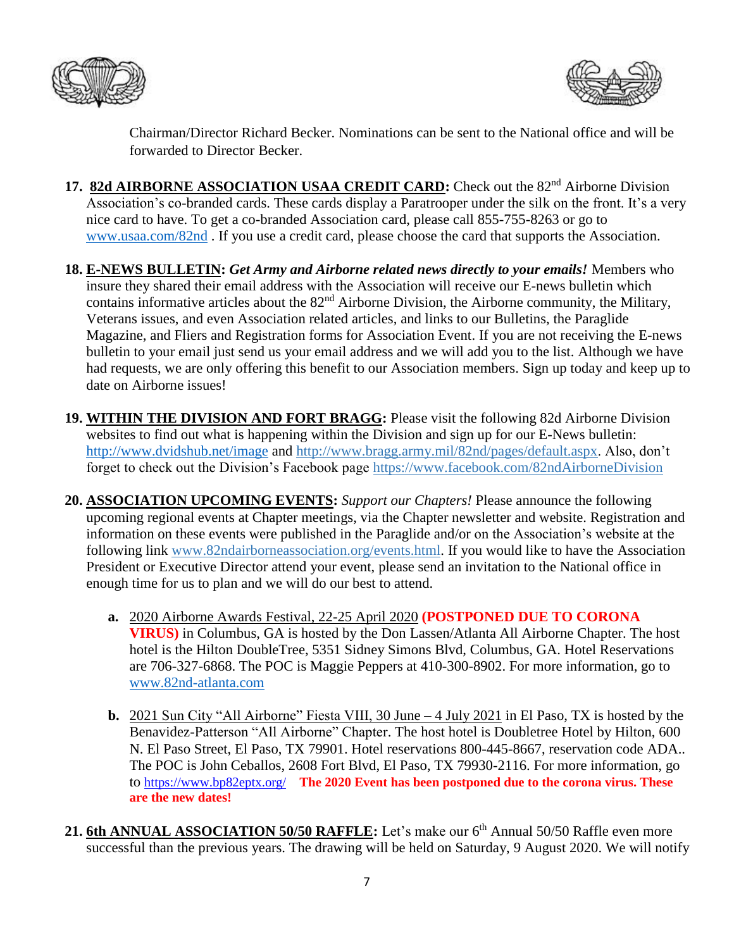



Chairman/Director Richard Becker. Nominations can be sent to the National office and will be forwarded to Director Becker.

- 17. 82d AIRBORNE ASSOCIATION USAA CREDIT CARD: Check out the 82<sup>nd</sup> Airborne Division Association's co-branded cards. These cards display a Paratrooper under the silk on the front. It's a very nice card to have. To get a co-branded Association card, please call 855-755-8263 or go to [www.usaa.com/82nd](http://www.usaa.com/82nd) . If you use a credit card, please choose the card that supports the Association.
- **18. E-NEWS BULLETIN:** *Get Army and Airborne related news directly to your emails!* Members who insure they shared their email address with the Association will receive our E-news bulletin which contains informative articles about the 82nd Airborne Division, the Airborne community, the Military, Veterans issues, and even Association related articles, and links to our Bulletins, the Paraglide Magazine, and Fliers and Registration forms for Association Event. If you are not receiving the E-news bulletin to your email just send us your email address and we will add you to the list. Although we have had requests, we are only offering this benefit to our Association members. Sign up today and keep up to date on Airborne issues!
- **19. WITHIN THE DIVISION AND FORT BRAGG:** Please visit the following 82d Airborne Division websites to find out what is happening within the Division and sign up for our E-News bulletin: <http://www.dvidshub.net/image> and [http://www.bragg.army.mil/82nd/pages/default.aspx.](http://www.bragg.army.mil/82ND/Pages/default.aspx) Also, don't forget to check out the Division's Facebook page<https://www.facebook.com/82ndAirborneDivision>
- **20. ASSOCIATION UPCOMING EVENTS:** *Support our Chapters!* Please announce the following upcoming regional events at Chapter meetings, via the Chapter newsletter and website. Registration and information on these events were published in the Paraglide and/or on the Association's website at the following link [www.82ndairborneassociation.org/events.html.](http://www.82ndairborneassociation.org/events.html) If you would like to have the Association President or Executive Director attend your event, please send an invitation to the National office in enough time for us to plan and we will do our best to attend.
	- **a.** 2020 Airborne Awards Festival, 22-25 April 2020 **(POSTPONED DUE TO CORONA VIRUS)** in Columbus, GA is hosted by the Don Lassen/Atlanta All Airborne Chapter. The host hotel is the Hilton DoubleTree, 5351 Sidney Simons Blvd, Columbus, GA. Hotel Reservations are 706-327-6868. The POC is Maggie Peppers at 410-300-8902. For more information, go to [www.82nd-atlanta.com](file:///C:/Users/lbauer626/AppData/Roaming/com.wd.WDMyCloud/Local%20Store/www.82nd-atlanta.com)
	- **b.** 2021 Sun City "All Airborne" Fiesta VIII, 30 June 4 July 2021 in El Paso, TX is hosted by the Benavidez-Patterson "All Airborne" Chapter. The host hotel is Doubletree Hotel by Hilton, 600 N. El Paso Street, El Paso, TX 79901. Hotel reservations 800-445-8667, reservation code ADA.. The POC is John Ceballos, 2608 Fort Blvd, El Paso, TX 79930-2116. For more information, go to <https://www.bp82eptx.org/>**The 2020 Event has been postponed due to the corona virus. These are the new dates!**
- 21. 6th ANNUAL ASSOCIATION 50/50 RAFFLE: Let's make our 6<sup>th</sup> Annual 50/50 Raffle even more successful than the previous years. The drawing will be held on Saturday, 9 August 2020. We will notify